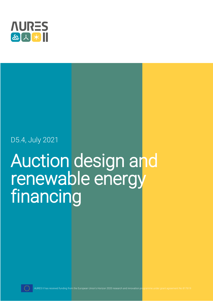

# D5.4, July 2021

# Auction design and renewable energy financing

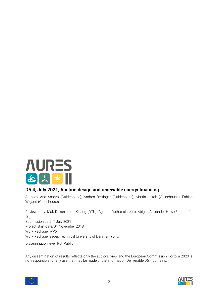

#### **D5.4, July 2021, Auction design and renewable energy financing**

Authors: Ana Amazo (Guidehouse), Andrea Dertinger (Guidehouse), Martin Jakob (Guidehouse), Fabian Wigand (Guidehouse)

Reviewed by: Mak Đukan, Lena Kitzing (DTU), Agustin Roth (eclareon), Abigail Alexander-Haw (Fraunhofer ISI) Submission date: 7 July 2021 Project start date: 01 November 2018 Work Package: WP5 Work Package leader: Technical University of Denmark (DTU)

Dissemination level: PU (Public)

Any dissemination of results reflects only the authors' view and the European Commission Horizon 2020 is not responsible for any use that may be made of the information Deliverable D5.4 contains.

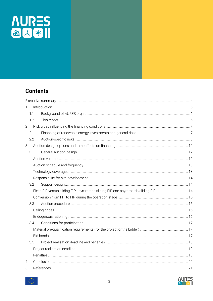

## **Contents**

| 1              |  |  |  |
|----------------|--|--|--|
| 1.1            |  |  |  |
| 1.2            |  |  |  |
| $\overline{2}$ |  |  |  |
| 2.1            |  |  |  |
| 2.2            |  |  |  |
| 3              |  |  |  |
| 3.1            |  |  |  |
|                |  |  |  |
|                |  |  |  |
|                |  |  |  |
|                |  |  |  |
| 3.2            |  |  |  |
|                |  |  |  |
|                |  |  |  |
| 3.3            |  |  |  |
|                |  |  |  |
|                |  |  |  |
| 3.4            |  |  |  |
|                |  |  |  |
|                |  |  |  |
| 3.5            |  |  |  |
|                |  |  |  |
|                |  |  |  |
| 4              |  |  |  |
| 5              |  |  |  |



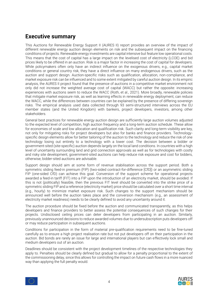# <span id="page-3-0"></span>**Executive summary**

This Auctions for Renewable Energy Support II (AURES II) report provides an overview of the impact of different renewable energy auction design elements on risk and the subsequent impact on the financing conditions of projects. Renewable energy investments are capital intensive but feature low operational costs. This means that the cost of capital has a large impact on the levelised cost of electricity (LCOE) and bid prices likely to be offered in an auction. Risk is a major factor in increasing the cost of capital for developers. While policymakers often only have an indirect influence on the exogenous drivers, e.g., capital market conditions or general country risk, they have a direct influence on many endogenous drivers, such as the auction and support design. Auction-specific risks such as qualification, allocation, non-compliance, and market exposure risk can be influenced and to some extent mitigated by careful auction design. In its empiric analysis, the AURES II project found that the presence of auctions in a competitive market environment not only did not increase the weighted average cost of capital (WACC) but rather the opposite: increasing experiences with auctions seem to reduce the WACC (Roth, et al., 2021). More broadly, renewable policies that mitigate market exposure risk, as well as learning effects in renewable energy deployment, can reduce the WACC, while the differences between countries can be explained by the presence of differing sovereign risks. The empirical analysis used data collected through 93 semi-structured interviews across the EU member states (and the United Kingdom) with bankers, project developers, investors, among other stakeholders.

General best practices for renewable energy auction design are sufficiently large auction volumes adjusted to the expected level of competition, high auction frequency and a long-term auction schedule. These allow for economies of scale and low allocation and qualification risk. Such clarity and long-term visibility are key, not only for mitigating risks for project developers but also for banks and finance providers. Technologyspecific design elements allow for better tailoring of the auction to the technology and reduce the risk of one technology losing out entirely to a technology with a lower cost. The decision between a bidder or government-sited (site-specific) auction depends largely on the local land conditions. In countries with a high level of uncertainty surrounding land and grid connection approvals as well as for technologies with costly and risky site development, government-sited auctions can help reduce risk exposure and cost for bidders, otherwise, bidder-sited auctions are advisable.

Support design should aim at some form of revenue stabilisation across the support period. Both a symmetric sliding feed-in premium (FIP) (two-sided contract-for-difference [CfD]) or an asymmetric sliding FIP (one-sided CfD) can achieve this goal. Conversion of the support scheme for operational projects awarded a feed-in tariff (FIT) into a FIP upon the introduction of an electricity market, should be avoided. If this is not (politically) feasible, then the previous FIT level should be converted into the strike price of a symmetric sliding FIP and a reference (electricity market) price should be calculated over a short time interval (e.g., hourly) to minimize market exposure risk. Such changes to the support mechanism should be announced well before the auction takes place and the conversion mechanism (e.g., an assessment of electricity market readiness) needs to be clearly defined to avoid any uncertainty around it.

The auction procedure should be fixed before the auction and communicated transparently, as this helps developers and finance providers to better assess the potential consequences of such changes for their projects. Undisclosed ceiling prices can deter developers from participating in an auction. Similarly, previously unannounced decisions to reduce awarded volumes due to undersubscription puts developers off or may reduce participation in subsequent auctions.

Conditions for participation in the form of material pre-qualification requirements need to be fine-tuned carefully as to ensure a high project realisation rate but not put developers off on their participation in the auction. Bid bonds are rarely an issue for large and international players but can effectively lock small and medium developers out of an auction.

Deadlines should be consistent with the project development timelines of the respective technologies they apply to. Penalties should be clearly defined but gradual to allow for a penalty proportional to the extent of the commissioning delay, since this allows for controlling the impact on future cash flows in a more nuanced way than applying the full penalty would.



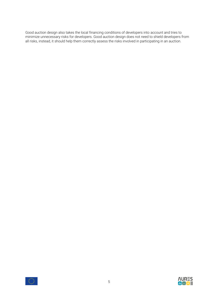Good auction design also takes the local financing conditions of developers into account and tries to minimize unnecessary risks for developers. Good auction design does not need to shield developers from all risks, instead, it should help them correctly assess the risks involved in participating in an auction.



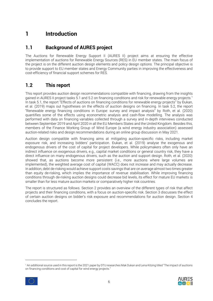## <span id="page-5-0"></span>**1 Introduction**

#### <span id="page-5-1"></span>**1.1 Background of AURES project**

The Auctions for Renewable Energy Support II (AURES II) project aims at ensuring the effective implementation of auctions for Renewable Energy Sources (RES) in EU member states. The main focus of the project is on the different auction design elements and policy design options. The principal objective is to provide support to EU member states and Energy Community parties in improving the effectiveness and cost-efficiency of financial support schemes for RES.

## <span id="page-5-2"></span>**1.2 This report**

This report provides auction design recommendations compatible with financing, drawing from the insights gained in AURES II project tasks 5.1 and 5.2 on financing conditions and risk for renewable energy projects. 1 In task 5.1, the report "Effects of auctions on financing conditions for renewable energy projects" by Đukan, et al. (2019) maps out hypotheses on the effects of auction designs on financing. In task 5.2, the report "Renewable energy financing conditions in Europe: survey and impact analysis" by Roth, et al. (2020) quantifies some of the effects using econometric analysis and cash-flow modelling. The analysis was performed with data on financing variables collected through a survey and in-depth interviews conducted between September 2019 and April 2020 in all the EU Members States and the United Kingdom. Besides this, members of the Finance Working Group of Wind Europe (a wind energy industry association) assessed auction-related risks and design recommendations during an online group discussion in May 2021.

Auction design compatible with financing aims at mitigating auction-specific risks, including market exposure risk, and increasing bidders' participation. Đukan, et al. (2019) analyse the exogenous and endogenous drivers of the cost of capital for project developers. While policymakers often only have an indirect influence on exogenous drivers, e.g., capital market conditions or general country risk, they have a direct influence on many endogenous drivers, such as the auction and support design. Roth, et al. (2020) showed that, as auctions become more persistent (i.e., more auctions where large volumes are implemented), the weighted average cost of capital (WACC) does not increase and may actually decrease. In addition, debt de-risking would achieve support costs savings that are on average almost two times greater than equity de-risking, which implies the importance of revenue stabilisation. While improving financing conditions through de-risking auction designs could decrease bid levels, its effect for mature EU markets is smaller than for less mature auction markets or comparatively higher risk countries.

The report is structured as follows. Section [2](#page-6-0) provides an overview of the different types of risk that affect projects and their financing conditions, with a focus on auction-specific risk. Section [3](#page-11-0) discusses the effect of certain auction designs on bidder's risk exposure and recommendations for auction design. Section [4](#page-19-0) concludes the report.

<sup>1</sup> An additional source used in this report is the 2021 paper by DTU researches Mak Dukan and Lena Kitzing titled "The impact of auctions on financing conditions and cost of capital for wind energy projects."



 $\overline{a}$ 

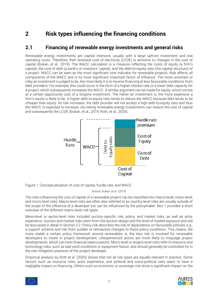## <span id="page-6-0"></span>**2 Risk types influencing the financing conditions**

#### <span id="page-6-1"></span>**2.1 Financing of renewable energy investments and general risks**

Renewable energy investments are capital intensive, usually with a large upfront investment and low operating costs. Therefore, their levelised cost of electricity (LCOE) is sensitive to changes in the cost of capital (Đukan, et al., 2019). The WACC calculation is a measure reflecting the costs of equity (a firm's capital), the cost of debt (a bank's or investors' capital), and the debt-to-equity ratio (the capital structure) of a project. WACC can be seen as the most significant cost indicator for renewable projects. Risk affects all components of the WACC and is its most significant important factor of influence. The more uncertain or risky an investment is judged to be, the more likely it is to receive financing at less favourable conditions from debt providers. For example, this could occur in the form of a higher interest rate or a lower debt capacity for a project, which subsequently increases the WACC. A similar argument can be made for equity, which comes at a certain opportunity cost of a forgone investment. The riskier an investment is, the more expensive a firm's equity is likely to be. A higher debt-to-equity ratio tends to reduce the WACC because debt tends to be cheaper than equity. As risk increases, the debt provider will not accept a high debt-to-equity ratio and thus the WACC is expected to increase. De-risking renewable energy investments can reduce the cost of capital and subsequently the LCOE (Đukan, et al., 2019; Roth, et al., 2020).



Figure 1. Conceptualisation of cost of capital, hurdle rate, and WACC

Source: Đukan, et al. (2019)

The risks influencing the cost of capital of a renewable project can be classified into macro-level, meso-level, and micro-level risks. Macro-level risks are often also referred to as country-level risks are usually outside of the scope of the influence of a developer but can be influenced by the policymaker. Box 1 provides a short overview of the different macro-level risk types.

Meso-level or sector-level risks included auction-specific risk, policy, and market risks, as well as actor experience. Auction and market risks stem from the auction design and the level of market exposure and will be discussed in detail in Section [2.2.](#page-7-0) Policy risk describes the risk of dependence on favourable policies, e.g., a support scheme and risk from sudden or retroactive changes to these policy conditions. This means, the more stable a certain policy framework around renewables is, the less risk is involved for renewable developers to invest in project development. Unexperienced actors are more likely to misjudge project developments, which can have financial repercussions. Micro-level or project-level risks refer to resource and technology risks, such as bad wind conditions or equipment failure, and should generally be controlled for in the risk mitigation practices of the project developer.

Empirical analysis by Roth et al. (2020) shows that not all risk types are equally relevant in practice. Some factors such as resource risks, actor experience, and political and socio-political risks seem to have a negligible impact on financing. Others such as economic or sovereign risk show a significant impact on the



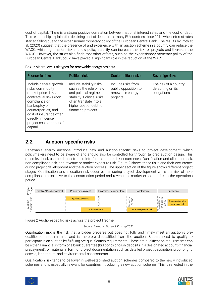cost of capital. There is a strong positive correlation between national interest rates and the cost of debt. This relationship explains the declining cost of debt across many EU countries since 2014 when interest rates started falling due to the expansionary monetary policy of the European Central Bank. The results by Roth et al. (2020) suggest that the presence of and experience with an auction scheme in a country can reduce the WACC, while high market risk and low policy stability can increase the risk for projects and therefore the WACC. However, the study also finds that other effects, such as the expansionary monetary policy of the European Central Bank, could have played a significant role in the reduction of the WACC.

| Box 1: Macro-level risk types for renewable energy projects |  |  |
|-------------------------------------------------------------|--|--|
|-------------------------------------------------------------|--|--|

| <b>Economic risks</b>                                                                                                                                                                                                                          | <b>Political risks</b>                                                                                                                                                               | Socio-political risks                                                       | Sovereign risks                                            |
|------------------------------------------------------------------------------------------------------------------------------------------------------------------------------------------------------------------------------------------------|--------------------------------------------------------------------------------------------------------------------------------------------------------------------------------------|-----------------------------------------------------------------------------|------------------------------------------------------------|
| Include general growth<br>risks, commodity<br>market price risks,<br>contractual risks (non-<br>compliance or<br>bankruptcy of<br>counterparties) and<br>cost of insurance often<br>directly influence<br>project costs or cost of<br>capital. | Include stability risks<br>such as the rule of law<br>and political regime<br>stability. Political risks<br>often translate into a<br>higher cost of debt for<br>financing projects. | Include risks from<br>public opposition to<br>renewable energy<br>projects. | The risk of a country<br>defaulting on its<br>obligations. |

#### <span id="page-7-0"></span>**2.2 Auction-specific risks**

Renewable energy auctions introduce new and auction-specific risks to project development, which policymakers need to be aware of and should also be controlled for through tailored auction design. This meso-level risk can be deconstructed into four separate risk occurrences: Qualification and allocation risk, non-compliance risk, and revenue or market exposure risk. [Figure 2](#page-7-1) shows these risks and their occurrence during project development and the auction process. The upper section of the figure shows different project stages. Qualification and allocation risk occur earlier during project development while the risk of noncompliance is exclusive to the construction period and revenue or market exposure risk to the operations period.



<span id="page-7-1"></span>Figure 2 Auction-specific risks across the project lifetime

Source: Based on Đukan & Kitzing (2021)

Qualification risk is the risk that a bidder prepares but does not fully and timely meet an auction's prequalification requirements and is therefore disqualified from the auction. Bidders need to qualify to participate in an auction by fulfilling pre-qualification requirements. These pre-qualification requirements can be either: Financial in form of a bank guarantee (bid bond) or cash deposits in a designated account (financial prepayment), or material in form of project documentation such as detailed project description, proof of grid access, land tenure, and environmental assessments

Qualification risk tends to be lower in well-established auction schemes compared to the newly introduced schemes and is especially relevant for countries introducing a new auction scheme. This is reflected in the



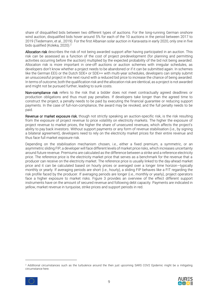share of disqualified bids between two different types of auctions. For the long-running German onshore wind auction, disqualified bids hover around 5% for each of the 10 auctions in the period between 2017 to 2019 (Tiedemann, et al., 2019). For the first Albanian solar auction in Karavasta in early 2020, only one in five bids qualified (Koleka, 2020). 2

Allocation risk describes the risk of not being awarded support after having participated in an auction. This risk can be assessed as a function of the cost of project predevelopment (for planning and permitting activities occurring before the auction) multiplied by the expected probability of the bid not being awarded. Allocation risk is more important in one-off auctions or auction schemes with irregular schedules, as developers don't know whether a project needs to be abandoned or if it can be submitted again. In schemes like the German EEG or the Dutch SDE+ or SDE++ with multi-year schedules, developers can simply submit an unsuccessful project in the next round with a reduced bid price to increase the chance of being awarded. In terms of outcome, both the qualification risk and the allocation risk are identical, as a project is not awarded and might not be pursued further, leading to sunk costs.

Non-compliance risk refers to the risk that a bidder does not meet contractually agreed deadlines or production obligations and thus must pay penalties. If developers take longer than the agreed time to construct the project, a penalty needs to be paid by executing the financial guarantee or reducing support payments. In the case of full-non-compliance, the award may be revoked, and the full penalty needs to be paid.

Revenue or market exposure risk, though not strictly speaking an auction-specific risk, is the risk resulting from the exposure of project revenue to price volatility on electricity markets. The higher the exposure of project revenue to market prices, the higher the share of unsecured revenues, which affects the project's ability to pay back investors. Without support payments or any form of revenue stabilisation (i.e., by signing a bilateral agreement), developers need to rely on the electricity market prices for their entire revenue and thus face full market exposure risk.

Depending on the stabilisation mechanism chosen, i.e., either a fixed premium, a symmetric, or an asymmetric sliding FIP, a developer will face different levels of market price risks, which increases uncertainty around future revenue. Premiums are calculated as the difference between a strike and a reference electricity price. The reference price is the electricity market price that serves as a benchmark for the revenue that a producer can receive on the electricity market. The reference price is usually linked to the day-ahead market price and it can be calculated based on hourly prices or averaged over a longer time horizon—typically monthly or yearly. If averaging periods are short (i.e., hourly), a sliding FIP behaves like a FIT regarding the risk profile faced by the producer. If averaging periods are longer (i.e., monthly or yearly), project operators face a higher exposure to market risks. [Figure 3](#page-9-0) provides an overview of the effect different support instruments have on the amount of secured revenue and following debt capacity. Payments are indicated in yellow, market revenue in turquoise, strike prices and support periods in red.

<sup>&</sup>lt;sup>2</sup> Additional circumstances such as the turbulence around the then just upcoming SARS COV2 Epidemic might be a mitigating circumstance here.



 $\overline{a}$ 

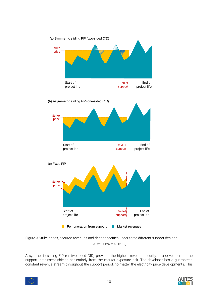

<span id="page-9-0"></span>Figure 3 Strike prices, secured revenues and debt capacities under three different support designs Source: Đukan, et al., (2019)

A symmetric sliding FIP (or two-sided CfD) provides the highest revenue security to a developer, as the support instrument shields her entirely from the market exposure risk. The developer has a guaranteed constant revenue stream throughout the support period, no matter the electricity price developments. This

10



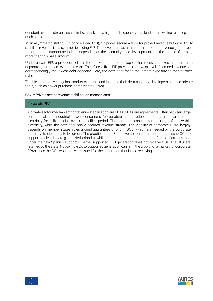constant revenue stream results in lower risk and a higher debt capacity that lenders are willing to accept for such a project.

In an asymmetric sliding FIP (or one-sided CfD), bid prices secure a floor for project revenue but do not fully stabilise revenue like a symmetric sliding FIP. The developer has a minimum amount of revenue guaranteed throughout the support period but, depending on the electricity price development, has the chance of earning more than this base amount.

Under a fixed FIP, a producer sells at the market price and on top of that receives a fixed premium as a separate, guaranteed revenue stream. Therefore, a fixed FIP provides the lowest level of secured revenue and correspondingly the lowest debt capacity. Here, the developer faces the largest exposure to market price risks.

To shield themselves against market exposure and increase their debt capacity, developers can use private tools, such as power purchase agreements (PPAs).

#### Box 2: Private sector revenue stabilisation mechanisms

#### Corporate PPAs

A private sector mechanism for revenue stabilisation are PPAs. PPAs are agreements, often between large commercial and industrial power consumers (corporates) and developers to buy a set amount of electricity for a fixed price over a specified period. The corporate can market its usage of renewable electricity, while the developer has a secured revenue stream. The viability of corporate PPAs largely depends on member states' rules around guarantees of origin (GOs), which are needed by the corporate to certify its electricity to be green. The practice in the EU is diverse, some member states issue GOs to supported electricity (e.g., the Netherlands), while some member states do not. In France, Germany, and under the new Spanish support scheme, supported RES generation does not receive GOs. The GOs are retained by the state. Not giving GOs to supported generation can limit the growth of a market for corporate PPAs since the GOs would only be issued for the generation that is not receiving support.



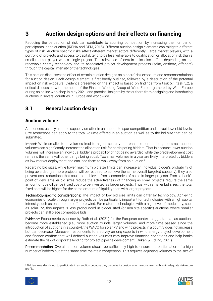# <span id="page-11-0"></span>**3 Auction design options and their effects on financing**

Reducing the perception of risk can contribute to spurring competition by increasing the number of participants in the auction (IRENA and CEM, 2015). Different auction design elements can mitigate different types of risk. Auction-specific risks affect different market actors differently: Large market players, with a portfolio of projects and access to capital, tend to be less vulnerable to qualification or allocation risk than a small market player with a single project. The relevance of certain risks also differs depending on the renewable energy technology and its associated project development process (solar, onshore, offshore) through the capital intensity of the technologies.

This section discusses the effect of certain auction designs on bidders' risk exposure and recommendations for auction design. Each design element is first briefly outlined, followed by a description of the potential impact on risk exposure. Evidence presented on the impact is based on findings from task 5.1, task 5.2, a critical discussion with members of the Finance Working Group of Wind Europe gathered by Wind Europe during an online workshop in May 2021, and practical insights by the authors from designing and introducing auctions in several countries in Europe and worldwide.

#### <span id="page-11-1"></span>**3.1 General auction design**

#### <span id="page-11-2"></span>**Auction volume**

Auctioneers usually limit the capacity on offer in an auction to spur competition and attract lower bid levels. Size restrictions can apply to the total volume offered in an auction as well as to the bid size that can be submitted.

Impact: While smaller total volumes lead to higher scarcity and enhance competition, too small auction volumes can significantly increase the allocation risk for participating bidders. That is because lower auction volumes will increase an individual bidder's probability of not being awarded while the predevelopment cost remains the same—all other things being equal. Too small volumes in a year are likely interpreted by bidders as low market deployment and can lead them to walk away from an auction.<sup>3</sup>

Regarding bid sizes, while lower maximum bid size limits can increase an individual bidder's probability of being awarded (as more projects will be required to achieve the same overall targeted capacity), they also prevent cost reductions that could be achieved from economies of scale in larger projects. From a bank's point of view, smaller bid sizes reduce the attractiveness of financing as small projects require the same amount of due diligence (fixed cost) to be invested as larger projects. Thus, with smaller bid sizes, the total fixed cost will be higher for the same amount of liquidity than with larger projects.

Technology-specific considerations: The impact of low bid size limits can differ by technology. Achieving economies of scale through larger projects can be particularly important for technologies with a high capital intensity such as onshore and offshore wind. For mature technologies with a high level of modularity, such as solar PV, this impact is less pronounced in bidder-sited (or non-site-specific) auctions where smaller projects can still place competitive bids.

Evidence: Econometric evidence by Roth et al. (2021) for the European context suggests that, as auctions become more established (i.e., more auction rounds, larger volumes, and more time passed since the introduction of auctions in a country), the WACC for solar PV and wind projects in a country does not increase but can decrease. Moreover, respondents to a survey among experts in wind energy project development and finance confirm that well-defined auction volumes may improve financing conditions and help banks estimate the risk of corporate lending for project pipeline development (Đukan & Kitzing, 2021).

Recommendation: Overall auction volume should be sufficiently high to ensure the participation of a high number of bidders but at the same time maintain competition. This requires adjusting volumes to the size of

<sup>&</sup>lt;sup>3</sup> Bidders may decide not to participate in an auction because they perceive its design as unfavourable or with an inadequate risk-return profile.



 $\overline{a}$ 

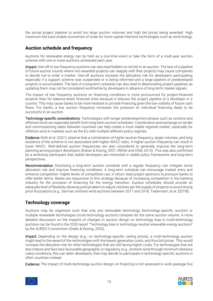the actual project pipeline to avoid too large auction volumes and high bid prices being awarded. High maximum bid sizes enable economies of scale for more capital-intensive technologies such as wind energy.

#### <span id="page-12-0"></span>**Auction schedule and frequency**

Auctions for renewable energy can be held as a one-time event or take the form of a multi-year auction scheme with one or more auctions scheduled each year.

Impact: One-off or low frequency auctions can also lead bidders to not bid in an auction. The lack of a pipeline of future auction rounds where non-awarded projects can reapply with their projects may cause companies to decide not to enter a market. One-off auctions increase the allocation risk for developers participating especially if a support scheme was suspended or is being reformed and a large pipeline of predeveloped projects is accumulated. The lack of a long-term schedule can also lead to deteriorating project pipelines as updating them may not be considered worthwhile by developers in absence of long-term market signals.

The impact of low frequency auctions on financing conditions is more pronounced for project-financed projects than for balance-sheet financed ones because it reduces the project pipeline of a developer in a country. This may cause banks to be more hesitant to provide financing given the low visibility of future cash flows. For banks, a low auction frequency increases the pressure on individual financing deals to be successful in an auction.

Technology-specific considerations: Technologies with longer predevelopment phases such as onshore and offshore wind can especially benefit from long-term auction schedules. Coordination and exchange on tender and commissioning dates between countries can help create a more stable regional market, especially for offshore wind in markets such as the EU with multiple different policy regimes.

Evidence: Roth et al. (2021) observe that a combination of higher auction frequency, larger volumes, and long existence of the scheme is not associated with higher WACC rates. A higher auction frequency can result in lower WACC. Well-defined auction frequencies are also considered to generally improve the long-term planning among project developers (Đukan & Kitzing, 2021; IRENA and CEM, 2015). This was also confirmed by a workshop participant that stated developers are interested in stable policy frameworks and long-term perspectives.

Recommendation: Disclosing a long-term auction schedule with a regular frequency can mitigate some allocation risk and improve financing conditions. A long-term schedule can encourage market entry and enhance competition. Higher levels of competition can, in return, lead project sponsors to pressure banks to offer better terms. Banks are responsive to this strategy because of increasing competition in the banking industry for the provision of financing for the energy transition. Auction schedules should provide an adequate level of flexibility allowing policymakers to adjust volumes per the supply of projects to avoid strong price fluctuations (e.g., German onshore wind auctions between 2017 and 2018, Tiedemann, et al. [2019]).

#### <span id="page-12-1"></span>**Technology coverage**

Auctions may be organized such that only one renewable technology (technology-specific auction) or multiple renewable technologies (multi-technology auction) compete for the same auction volume. A more detailed discussion on the impacts of changes in auction design on technology bias in multi-technology auctions can be found in the 2020 report "Technology bias in technology-neutral renewable energy auctions" by the AURES II consortium (Diallo & Kitzing, 2020).

Impact: Depending on the design (e.g., no technology-specific ceiling prices), a multi-technology auction might lead to the award of the technologies with the lowest generation costs, and thus bid prices. This would increase the allocation risk for other technologies that are still facing higher costs. For technologies that are less mature and face less favourable geographic or regulatory (e.g., onshore wind through minimum distance rules) conditions, this can deter developers, that may decide to participate in technology-specific auctions in other countries instead.

Evidence: The impact of multi-technology auction design on financing is not assessed in work package five



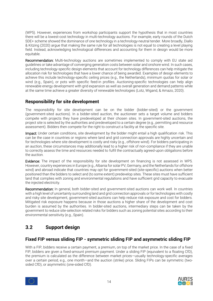(WP5). However, experiences from workshop participants support the hypothesis that in most countries there will be a lowest-cost technology in multi-technology auctions. For example, early rounds of the Dutch SDE+ scheme showed the dominance of one technology in a technology-neutral tender. More broadly, Diallo & Kitzing (2020) argue that making the same rule for all technologies is not equal to creating a level playing field. Instead, acknowledging technological differences and accounting for them in design would be more equitable.

Recommendation: Multi-technology auctions are sometimes implemented to comply with EU state aid guidelines or take advantage of converging generation costs between solar and onshore wind. In such cases, including technology-specific design elements that account for technology differences can help mitigate the allocation risk for technologies that have a lower chance of being awarded. Examples of design elements to achieve this include technology-specific ceiling prices (e.g., the Netherlands), minimum quotas for solar or wind (e.g., Spain), or pots with specific feed-in profiles. Auctioning-specific technologies can help align renewable energy development with grid expansion as well as overall generation and demand patterns while at the same time achieve a greater diversity of renewable technologies (Lotz, Wigand, & Amazo, 2020).

#### <span id="page-13-0"></span>**Responsibility for site development**

The responsibility for site development can be on the bidder (bidder-sited) or the government (government-sited auctions). In a bidder-sited auction, the auctioneer sets a target volume and bidders compete with projects they have predeveloped at their chosen sites. In government-sited auctions, the project site is selected by the authorities and predeveloped to a certain degree (e.g., permitting and resource assessment). Bidders then compete for the right to construct a facility at the specific site.

Impact: Under certain conditions, site development by the bidder might entail a high qualification risk. This can be the case in countries or regions where land and grid connection approvals are highly uncertain and for technologies where site development is costly and risky (e.g., offshore wind). For bidders participating in an auction, these circumstances may additionally lead to a higher risk of non-compliance if they are unable to correctly assess the time and resources needed to fulfil the contractually agreed-upon obligations before the auction.

Evidence: The impact of the responsibility for site development on financing is not assessed in WP5. However, country experiences in Europe (e.g., Albania for solar PV, Germany, and the Netherlands for offshore wind) and abroad indicate that countries may opt for government-sited (site-specific) auctions when better positioned than the bidders to select and (to some extent) predevelop sites. These sites must have sufficient land that complies with zoning and environmental regulations and have sufficient grid capacity to evacuate the injected electricity.

Recommendation: In general, both bidder-sited and government-sited auctions can work well. In countries with a high level of uncertainty surrounding land and grid connection approvals or for technologies with costly and risky site development, government-sited auctions can help reduce risk exposure and cost for bidders. Mitigated risk exposure happens because in those auctions a higher share of the development and cost burden is assumed by the authorities. In bidder-sited auctions, intermediary steps can be taken by the government to reduce site-selection related risks for bidders such as zoning potential sites according to their environmental sensitivity (e.g., Spain).

## <span id="page-13-1"></span>**3.2 Support design**

#### <span id="page-13-2"></span>**Fixed FIP versus sliding FIP - symmetric sliding FIP and asymmetric sliding FIP**

With a FIP, bidders receive a certain payment, a premium, on top of the market price. In the case of a fixed FIP, bidders are given a fixed-amount premium payment. Under a sliding FIP (equivalent to a floating CfD), the premium is calculated as the difference between market prices—usually technology-specific averages over a certain period, e.g., one month—and the auction (strike) price. Sliding FIPs can be symmetric (twosided CfD), or asymmetric (one-sided CfD).



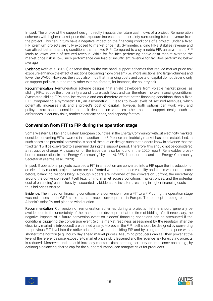Impact: The choice of the support design directly impacts the future cash flows of a project. Remuneration schemes with higher market price risk exposure increase the uncertainty surrounding future revenue from the project. This can in turn have a negative impact on the financing conditions of a project. Under a fixed FIP, premium projects are fully exposed to market price risk. Symmetric sliding FIPs stabilise revenue and can attract better financing conditions than a fixed FIP. Compared to a symmetric FIP, an asymmetric FIP leads to lower levels of secured revenue. While for facilities performing above or at market average the market price risk is low, such performance can lead to insufficient revenue for facilities performing below average.

Evidence: Roth et al. (2021) observe that, on the one hand, support schemes that reduce market price risk exposure enhance the effect of auctions becoming more present (i.e., more auctions and large volumes) and lower the WACC. However, the study also finds that financing costs and costs of capital do not depend only on support policies, but on many other external factors, for instance, the country risk.

Recommendation: Remuneration scheme designs that shield developers from volatile market prices, as sliding FIPs, reduce the uncertainty around future cash flows and can therefore improve financing conditions. Symmetric sliding FIPs stabilise revenue and can therefore attract better financing conditions than a fixed FIP. Compared to a symmetric FIP, an asymmetric FIP leads to lower levels of secured revenues, which potentially increases risk and a project's cost of capital. However, both options can work well, and policymakers should consider that risk depends on variables other than the support design such as differences in country risks, market electricity prices, and capacity factors.

#### <span id="page-14-0"></span>**Conversion from FIT to FIP during the operation stage**

Some Western Balkan and Eastern European countries in the Energy Community without electricity markets consider converting FITs awarded in an auction into FIPs once an electricity market has been established. In such cases, the potential conversion is part of the auction design such that bidders know in advance that the fixed tariff will be converted to a premium during the support period. Therefore, this should not be considered a retroactive change. A discussion of the issue can also be found in the 2020 report "Renewables crossborder cooperation in the Energy Community" by the AURES II consortium and the Energy Community Secretariat (Kerres, et al., 2020).

Impact: If operational projects awarded a FIT in an auction are converted into a FIP upon the introduction of an electricity market, project owners are confronted with market price volatility and, if this was not the case before, balancing responsibility. Although bidders are informed of the conversion upfront, the uncertainty around the conversion event itself (e.g., timing, market access conditions, market prices, and the potential cost of balancing) can be heavily discounted by bidders and investors, resulting in higher financing costs and thus bid prices offered.

Evidence: The impact on financing conditions of a conversion from a FIT to a FIP during the operation stage was not assessed in WP5 since this is a recent development in Europe. The concept is being tested in Albania's solar PV and planned wind auction.

Recommendation: Conversion of remuneration schemes during a project's lifetime should generally be avoided due to the uncertainty of the market price development at the time of bidding. Yet, if necessary, the negative impacts of a future conversion event on bidders' financing conditions can be attenuated if the conditions triggering the conversion event (e.g., a market readiness assessment by the regulator after the electricity market is introduced) are defined clearly. Moreover, the FIP itself should be designed by converting the previous FIT level into the strike price of a symmetric sliding FIP and by using a reference price with a shorter time horizon (e.g., hourly day-ahead market prices). Assuming producers can sell their power at the level of the reference price, exposure to market price risk is lessened and the revenue risk for existing projects is reduced. Moreover, until a liquid intra-day market exists, creating certainty on imbalance costs, e.g., by defining a balancing charge cap for the support duration, can mitigate risks for producers.



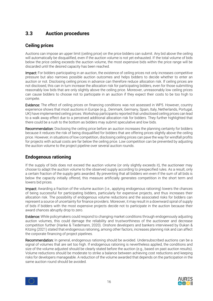#### <span id="page-15-0"></span>**3.3 Auction procedures**

#### <span id="page-15-1"></span>**Ceiling prices**

Auctions can impose an upper limit (ceiling price) on the price bidders can submit. Any bid above the ceiling will automatically be disqualified, even if the auction volume is not yet exhausted. If the total volume of bids below the price ceiling exceeds the auction volume, the most expensive bids within the price range will be discarded until the desired capacity has been reached.

Impact: For bidders participating in an auction, the existence of ceiling prices not only increases competitive pressure but also narrows possible auction outcomes and helps bidders to decide whether to enter an auction or not. Disclosing ceiling prices in advance can therefore reduce allocation risk. If ceiling prices are not disclosed, this can in turn increase the allocation risk for participating bidders, even for those submitting reasonably low bids that are only slightly above the ceiling price. Moreover, unreasonably low ceiling prices can cause bidders to choose not to participate in an auction if they expect their costs to be too high to compete.

Evidence: The effect of ceiling prices on financing conditions was not assessed in WP5. However, country experience shows that most auctions in Europe (e.g., Denmark, Germany, Spain, Italy, Netherlands, Portugal, UK) have implemented ceiling prices. Workshop participants reported that undisclosed ceiling prices can lead to a walk away effect due to a perceived additional allocation risk for bidders. They further highlighted that there could be a rush to the bottom as bidders may submit speculative and low bids.

Recommendation: Disclosing the ceiling price before an auction increases the planning certainty for bidders because it reduces the risk of being disqualified for bidders that are offering prices slightly above the ceiling price. However, in situations of low competition, disclosing ceiling prices can pave the way for windfall profits for projects with actual costs are far below the ceiling price. Low competition can be prevented by adjusting the auction volume to the project pipeline over several auction rounds.

#### <span id="page-15-2"></span>**Endogenous rationing**

If the supply of bids does not exceed the auction volume (or only slightly exceeds it), the auctioneer may choose to adapt the auction volume to the observed supply according to prespecified rules. As a result, only a certain fraction of the supply gets awarded. By preventing that all bidders win even if the sum of all bids is below the capacity initially offered, this measure artificially generates competition in the short term and lowers bid prices.

Impact: Awarding a fraction of the volume auction (i.e., applying endogenous rationing) lowers the chances of being successful for participating bidders, particularly for expensive projects, and thus increases their allocation risk. The possibility of endogenous volume reductions and the associated risks for bidders can represent a source of uncertainty for finance providers. Moreover, it may result in a downward spiral of supply of bids if bidders with the most expensive projects decide not to participate in the auction because their award chances abruptly drop to zero.

Evidence: While policymakers could respond to changing market conditions through endogenously adjusting auction volumes, this could damage the reliability and trustworthiness of the auctioneer and decrease competition further (Hanke & Tiedemann, 2020). Onshore developers and bankers interviewed by Đukan & Kitzing (2021) stated that endogenous rationing, among other factors, increases planning risk and can affect the corporate financing of project pipelines.

Recommendation: In general, endogenous rationing should be avoided. Undersubscribed auctions can be a signal of volumes that are set too high. If endogenous rationing is nevertheless applied, the conditions and size of the volume adjusted should be clearly stated before the auction (e.g., based on past auction results). Volume reductions should be moderate to strike a balance between achieving cost reductions and keeping risks for developers manageable. A reduction of the volume awarded that depends on the participation in the same auction round should be avoided.



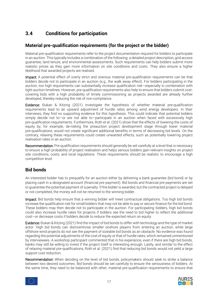## <span id="page-16-0"></span>**3.4 Conditions for participation**

#### <span id="page-16-1"></span>**Material pre-qualification requirements (for the project or the bidder)**

Material pre-qualification requirements refer to the project documentation required for bidders to participate in an auction. This typically includes a combination of the following: a detailed project description, grid access guarantee, land tenure, and environmental assessments. Such requirements can help bidders submit more realistic prices as they gain more information on site conditions and costs. They also ensure a higher likelihood that awarded projects are realised.

Impact: A potential effect of overly strict and onerous material pre-qualification requirements can be that bidders decide not to participate in an auction (e.g., the walk away effect). For bidders participating in the auction, too high requirements can substantially increase qualification risk—especially in combination with tight auction timelines. However, pre-qualification requirements also help to ensure that bidders submit costcovering bids with a high probability of timely commissioning as projects awarded are already further developed, thereby reducing the risk of non-compliance.

Evidence: Đukan & Kitzing (2021) investigate the hypothesis of whether material pre-qualification requirements lead to an upward adjustment of hurdle rates among wind energy developers. In their interviews, they find no supporting evidence for this hypothesis. This could indicate that potential bidders simply decide not to—or are not able to—participate in an auction when faced with excessively high pre-qualification requirements. Furthermore, Roth et al. (2021) show that the effects of lowering the costs of equity by, for example, de-risking the preauction project development stage through lower material pre-qualifications, would not create significant additional benefits in terms of decreasing bid levels. On the contrary, relaxing these requirements could create unwanted effects, such as potentially lowering project realisation rates in an auction.

Recommendation: Pre-qualification requirements should generally be set carefully at a level that is necessary to ensure a high probability of project realisation and helps serious bidders gain relevant insights on project site conditions, costs, and local regulations. These requirements should be realistic to encourage a high competition level.

#### <span id="page-16-2"></span>**Bid bonds**

An interested bidder has to prequalify for an auction either by delivering a bank guarantee (bid bond) or by placing cash in a designated account (financial pre-payment). Bid bonds and financial pre-payments are set to guarantee the potential payment of a penalty. If the bidder is awarded, but the contracted project is delayed or not completed, the money will not be returned to the winning bidder.

Impact: Bid bonds help ensure that a winning bidder will meet contractual obligations. Too high bid bonds increase the qualification risk for small bidders that may not be able to pay or secure finance for the bid bond. These bidders may then decide not to participate in the auction. For participating bidders, high bid bonds could also increase hurdle rates for projects if bidders see the need to bid higher to reflect the additional cost—or decrease costs if bidders decide to reduce the expected return on equity.

Evidence: Đukan & Kitzing (2021) find the impact of bid bonds to differ with technology and the type of market actor. High bid bonds can disincentivise smaller onshore players from entering an auction, while large offshore wind projects do not see the payment of sizeable bid bonds as an obstacle. No evidence was found regarding the potential adjustments of the cost of equity or that of hurdle rates, which remained unmentioned by interviewees. A workshop participant commented that in his experience, even if there are high bid bonds, banks may still be willing to invest if the project itself is interesting enough. Lastly, and similar to the effect of relaxing material pre-qualifications, Roth et al. (2021) find that reducing bid bonds would not yield a large support cost reduction.

Recommendation: When deciding on the level of bid bonds, policymakers should seek to strike a balance between two desired outcomes. Bid bonds should be set carefully to ensure the seriousness of bidders. At the same time, they need to be balanced with other, material pre-qualification requirements to ensure that



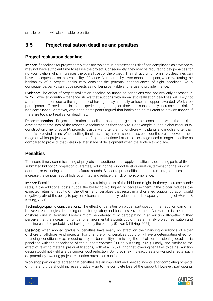smaller bidders will also be able to participate.

## <span id="page-17-0"></span>**3.5 Project realisation deadline and penalties**

#### <span id="page-17-1"></span>**Project realisation deadline**

Impact: If deadlines for project completion are too tight, it increases the risk of non-compliance as developers may not have sufficient time to realise the project. Consequently, they may be required to pay penalties for non-completion, which increases the overall cost of the project. The risk accruing from short deadlines can have consequences on the availability of finance. As reported by a workshop participant, when evaluating the bankability of a project, banks may consider the potential consequences of tight deadlines. As a consequence, banks can judge projects as not being bankable and refuse to provide finance.

Evidence: The effect of project realisation deadline on financing conditions was not explicitly assessed in WP5. However, country experience shows that auctions with unrealistic realisation deadlines will likely not attract competition due to the higher risk of having to pay a penalty or lose the support awarded. Workshop participants affirmed that, in their experience, tight project timelines substantially increase the risk of non-compliance. Moreover, workshop participants argued that banks can be reluctant to provide finance if there are too short realisation deadlines.

Recommendation: Project realisation deadlines should, in general, be consistent with the project development timelines of the respective technologies they apply to. For example, due to higher modularity, construction time for solar PV projects is usually shorter than for onshore wind plants and much shorter than for offshore wind farms. When setting timelines, policymakers should also consider the project development stage at which projects were auctioned. Projects auctioned at an earlier stage need a longer deadline as compared to projects that were in a later stage of development when the auction took place.

#### <span id="page-17-2"></span>**Penalties**

To ensure timely commissioning of projects, the auctioneer can apply penalties by executing parts of the submitted bid bond/completion guarantee, reducing the support level or duration, terminating the support contract, or excluding bidders from future rounds. Similar to pre-qualification requirements, penalties can increase the seriousness of bids submitted and reduce the risk of non-compliance.

Impact: Penalties that are implemented by retaining parts of the bid bond might, in theory, increase hurdle rates, if the additional costs nudge the bidder to bid higher, or decrease them if the bidder reduces the expected return on equity. On the other hand, penalties that result in a shortened support duration could negatively affect the ability to pay back loans and ultimately reduce the debt capacity of a project (Đukan & Kitzing, 2021).

Technology-specific considerations: The effect of penalties on bidder participation in an auction can differ between technologies depending on their regulatory and business environment. An example is the case of onshore wind in Germany. Bidders might be deterred from participating in an auction altogether if they perceive that the increasing number of environmental lawsuits could threaten timely project realisation and thus increase the probability of having to pay the penalty (Đukan & Kitzing, 2021).

Evidence: When applied gradually, penalties have nearly no effect on the financing conditions of either onshore or offshore wind projects. For offshore wind, penalties could only have a deteriorating effect on financing conditions (e.g., reducing project bankability) if missing the initial commissioning deadline is penalised with the cancelation of the support contract (Đukan & Kitzing, 2021). Lastly, and similar to the effect of relaxing material pre-qualifications, Roth et al. (2021) find that lowering penalties to de-risk auction design would not yield a large support cost reduction. Doing so may, instead, create unwanted effects, such as potentially lowering project realisation rates in an auction.

Workshop participants agreed that penalties are an important and needed incentive for completing projects on time and thus should increase gradually up to the complete loss of the support. However, participants



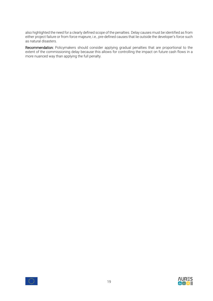also highlighted the need for a clearly defined scope of the penalties. Delay causes must be identified as from either project failure or from force majeure, i.e., pre-defined causes that lie outside the developer's force such as natural disasters.

Recommendation: Policymakers should consider applying gradual penalties that are proportional to the extent of the commissioning delay because this allows for controlling the impact on future cash flows in a more nuanced way than applying the full penalty.



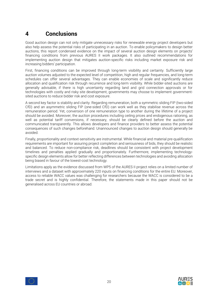# <span id="page-19-0"></span>**4 Conclusions**

Good auction design can not only mitigate unnecessary risks for renewable energy project developers but also help assess the potential risks of participating in an auction. To enable policymakers to design better auctions, this report condensed evidence on the impact of several auction design elements on projects' financing conditions from previous AURES II work packages. It also outlined recommendations for implementing auction design that mitigates auction-specific risks including market exposure risk and increasing bidders' participation.

First, financing conditions can be improved through long-term visibility and certainty. Sufficiently large auction volumes adjusted to the expected level of competition, high and regular frequencies, and long-term schedules can offer several advantages. They can enable economies of scale and significantly reduce allocation and qualification risk through recurrence and long-term visibility. While bidder-sited auctions are generally advisable, if there is high uncertainty regarding land and grid connection approvals or for technologies with costly and risky site development, governments may choose to implement governmentsited auctions to reduce bidder risk and cost exposure.

A second key factor is stability and clarity. Regarding remuneration, both a symmetric sliding FIP (two-sided CfD) and an asymmetric sliding FIP (one-sided CfD) can work well as they stabilise revenue across the remuneration period. Yet, conversion of one remuneration type to another during the lifetime of a project should be avoided. Moreover, the auction procedures including ceiling prices and endogenous rationing, as well as potential tariff conversions, if necessary, should be clearly defined before the auction and communicated transparently. This allows developers and finance providers to better assess the potential consequences of such changes beforehand. Unannounced changes to auction design should generally be avoided.

Finally, proportionality and context-sensitivity are instrumental. While financial and material pre-qualification requirements are important for assuring project completion and seriousness of bids, they should be realistic and balanced. To reduce non-compliance risk, deadlines should be consistent with project development timelines and penalties applied gradually and proportionately. Furthermore, implementing technologyspecific design elements allow for better reflecting differences between technologies and avoiding allocation being biased in favour of the lowest-cost technology.

Limitations apply as the evidence discussed from WP5 of the AURES II project relies on a limited number of interviews and a dataset with approximately 220 inputs on financing conditions for the entire EU. Moreover, access to reliable WACC values was challenging for researchers because the WACC is considered to be a trade secret and is highly confidential. Therefore, the statements made in this paper should not be generalised across EU countries or abroad.



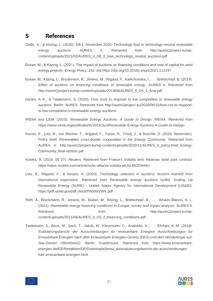## <span id="page-20-0"></span>**5 References**

- Diallo, A., & Kitzing, L. (2020). *D8.1, November 2020, Technology bias in technology-neutral renewable energy auctions.* AURES II. Retrieved from http://aures2project.eu/wpcontent/uploads/2021/02/AURES\_II\_D8\_2\_bias\_technology\_neutral\_auctions.pdf
- Đukan, M., & Kitzing, L. (2021). The impact of auctions on financing conditions and cost of capital for wind energy projects. *Energy Policy, 152*. doi:https://doi.org/10.1016/j.enpol.2021.112197
- Đukan, M., Kitzing, L., Brückmann, R., Jimeno, M., Wigand, F., Kielichowska, I., . . . Breitschopf, B. (2019). *Effect of auctions on financing conditions of renewable energy.* AURES II. Retrieved from http://aures2project.eu/wp-content/uploads/2019/06/AURES\_II\_D5\_1\_final.pdf
- Hanke, A.-K., & Tiedemann, S. (2020). *How (not) to respond to low competition in renewable energy auctions.* Berlin: AURES. Retrieved from http://aures2project.eu/2020/06/15/how-not-to-respondto-low-competition-in-renewable-energy-auctions/
- IRENA and CEM. (2015). *Renewable Energy Auctions: A Guide to Design.* IRENA. Retrieved from https://www.irena.org/publications/2015/Jun/Renewable-Energy-Auctions-A-Guide-to-Design
- Kerres, P., Lotz, B., von Blücher, F., Wigand, F., Tasso, N., Trhulj, J., & Buschle, D. (2020, November). *Policy brief: Renewables cross-border cooperation in the Energy Community.* Retrieved from AURES II: http://aures2project.eu/wp-content/uploads/2020/11/AURES\_II\_policy-brief\_Energy-Community\_final-version.pdf
- Koleka, B. (2020, 05 27). *Reuters*. Retrieved from France's Voltalia wins Albanian solar park contract: https://www.reuters.com/article/solar-albania-voltalia-idUSL8N2D944U
- Lotz, B., Wigand, F., & Amazo, A. (2020). *Technology selection in auctions: lessons learned from international experience.* Retrieved from Renewable energy auctions toolkit. Scaling Up Renewable Energy (SURE) - United States Agency for International Development (USAID): https://pdf.usaid.gov/pdf\_docs/PA00WZWK.pdf
- Roth, A., Brückmann, R., Jimeno, M., Đukan, M., Kitzing, L., Breitschopf, B., . . . Amazo Blanco, A. L. (2021). *Renewable energy financing conditions in Europe: survey and impact analysis.* AURES II. Retrieved from from http://aures2project.eu/wpcontent/uploads/2021/06/AURES\_II\_D5\_2\_financing\_conditions.pdf
- Tiedemann, S., Bons, M., Sach, T., Jakob, M., Klessmann, C., Anatolitis, V., . . . Ehrhart, K.-M. (2019). *Evaluierungsbericht der Ausschreibungen für erneuerbare Energien Ausschreibungen für Erneuerbare Energien nach dem Erneuerbare-Energien-Gesetz (EEG) und dem Windenergie-auf-See-Gesetz (WindSeeG).* Berlin: Guidehouse. Retrieved from https://www.erneuerbareenergien.de/EE/Redaktion/DE/Downloads/bmwi\_de/evaluierungsbericht-der-ausschreibungenfuer-erneuerbare-energien.html